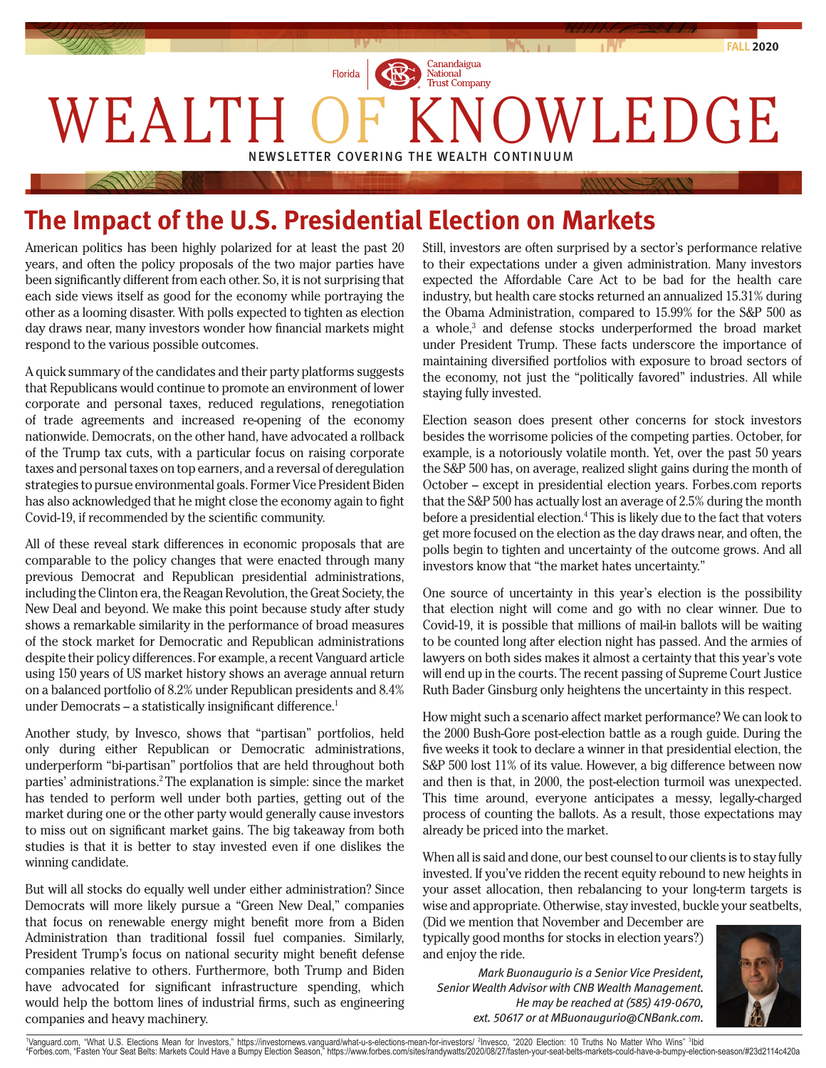

## **The Impact of the U.S. Presidential Election on Markets**

American politics has been highly polarized for at least the past 20 years, and often the policy proposals of the two major parties have been significantly different from each other. So, it is not surprising that each side views itself as good for the economy while portraying the other as a looming disaster. With polls expected to tighten as election day draws near, many investors wonder how financial markets might respond to the various possible outcomes.

A quick summary of the candidates and their party platforms suggests that Republicans would continue to promote an environment of lower corporate and personal taxes, reduced regulations, renegotiation of trade agreements and increased re-opening of the economy nationwide. Democrats, on the other hand, have advocated a rollback of the Trump tax cuts, with a particular focus on raising corporate taxes and personal taxes on top earners, and a reversal of deregulation strategies to pursue environmental goals. Former Vice President Biden has also acknowledged that he might close the economy again to fight Covid-19, if recommended by the scientific community.

All of these reveal stark differences in economic proposals that are comparable to the policy changes that were enacted through many previous Democrat and Republican presidential administrations, including the Clinton era, the Reagan Revolution, the Great Society, the New Deal and beyond. We make this point because study after study shows a remarkable similarity in the performance of broad measures of the stock market for Democratic and Republican administrations despite their policy differences. For example, a recent Vanguard article using 150 years of US market history shows an average annual return on a balanced portfolio of 8.2% under Republican presidents and 8.4% under Democrats – a statistically insignificant difference.<sup>1</sup>

Another study, by Invesco, shows that "partisan" portfolios, held only during either Republican or Democratic administrations, underperform "bi-partisan" portfolios that are held throughout both parties' administrations.2 The explanation is simple: since the market has tended to perform well under both parties, getting out of the market during one or the other party would generally cause investors to miss out on significant market gains. The big takeaway from both studies is that it is better to stay invested even if one dislikes the winning candidate.

But will all stocks do equally well under either administration? Since Democrats will more likely pursue a "Green New Deal," companies that focus on renewable energy might benefit more from a Biden Administration than traditional fossil fuel companies. Similarly, President Trump's focus on national security might benefit defense companies relative to others. Furthermore, both Trump and Biden have advocated for significant infrastructure spending, which would help the bottom lines of industrial firms, such as engineering companies and heavy machinery.

Still, investors are often surprised by a sector's performance relative to their expectations under a given administration. Many investors expected the Affordable Care Act to be bad for the health care industry, but health care stocks returned an annualized 15.31% during the Obama Administration, compared to 15.99% for the S&P 500 as a whole,<sup>3</sup> and defense stocks underperformed the broad market under President Trump. These facts underscore the importance of maintaining diversified portfolios with exposure to broad sectors of the economy, not just the "politically favored" industries. All while staying fully invested.

Election season does present other concerns for stock investors besides the worrisome policies of the competing parties. October, for example, is a notoriously volatile month. Yet, over the past 50 years the S&P 500 has, on average, realized slight gains during the month of October – except in presidential election years. Forbes.com reports that the S&P 500 has actually lost an average of 2.5% during the month before a presidential election.<sup>4</sup> This is likely due to the fact that voters get more focused on the election as the day draws near, and often, the polls begin to tighten and uncertainty of the outcome grows. And all investors know that "the market hates uncertainty."

One source of uncertainty in this year's election is the possibility that election night will come and go with no clear winner. Due to Covid-19, it is possible that millions of mail-in ballots will be waiting to be counted long after election night has passed. And the armies of lawyers on both sides makes it almost a certainty that this year's vote will end up in the courts. The recent passing of Supreme Court Justice Ruth Bader Ginsburg only heightens the uncertainty in this respect.

How might such a scenario affect market performance? We can look to the 2000 Bush-Gore post-election battle as a rough guide. During the five weeks it took to declare a winner in that presidential election, the S&P 500 lost 11% of its value. However, a big difference between now and then is that, in 2000, the post-election turmoil was unexpected. This time around, everyone anticipates a messy, legally-charged process of counting the ballots. As a result, those expectations may already be priced into the market.

When all is said and done, our best counsel to our clients is to stay fully invested. If you've ridden the recent equity rebound to new heights in your asset allocation, then rebalancing to your long-term targets is wise and appropriate. Otherwise, stay invested, buckle your seatbelts,

(Did we mention that November and December are typically good months for stocks in election years?) and enjoy the ride.

 *Mark Buonaugurio is a Senior Vice President, Senior Wealth Advisor with CNB Wealth Management. He may be reached at (585) 419-0670, ext. 50617 or at MBuonaugurio@CNBank.com.*



'Vanguard.com, "What U.S. Elections Mean for Investors," https://investornews.vanguard/what-u-s-elections-mean-for-investors/ ?Invesco, "2020 Election: 10 Truths No Matter Who Wins" <sup>3</sup>lbid<br>"Forbes.com, "Fasten Your Seat